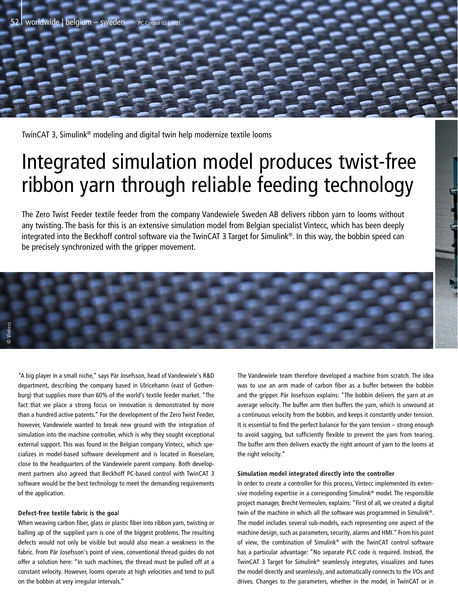TwinCAT 3, Simulink® modeling and digital twin help modernize textile looms

## Integrated simulation model produces twist-free ribbon yarn through reliable feeding technology

The Zero Twist Feeder textile feeder from the company Vandewiele Sweden AB delivers ribbon yarn to looms without any twisting. The basis for this is an extensive simulation model from Belgian specialist Vintecc, which has been deeply integrated into the Beckhoff control software via the TwinCAT 3 Target for Simulink®. In this way, the bobbin speed can be precisely synchronized with the gripper movement.

**© Vintecc**

"A big player in a small niche," says Pär Josefsson, head of Vandewiele's R&D department, describing the company based in Ulricehamn (east of Gothenburg) that supplies more than 60% of the world's textile feeder market. "The fact that we place a strong focus on innovation is demonstrated by more than a hundred active patents." For the development of the Zero Twist Feeder, however, Vandewiele wanted to break new ground with the integration of simulation into the machine controller, which is why they sought exceptional external support. This was found in the Belgian company Vintecc, which specializes in model-based software development and is located in Roeselare, close to the headquarters of the Vandewiele parent company. Both development partners also agreed that Beckhoff PC-based control with TwinCAT 3 software would be the best technology to meet the demanding requirements of the application.

## **Defect-free textile fabric is the goa**l

When weaving carbon fiber, glass or plastic fiber into ribbon yarn, twisting or balling up of the supplied yarn is one of the biggest problems. The resulting defects would not only be visible but would also mean a weakness in the fabric. From Pär Josefsson's point of view, conventional thread guides do not offer a solution here: "In such machines, the thread must be pulled off at a constant velocity. However, looms operate at high velocities and tend to pull on the bobbin at very irregular intervals."

The Vandewiele team therefore developed a machine from scratch. The idea was to use an arm made of carbon fiber as a buffer between the bobbin and the gripper. Pär Josefsson explains: "The bobbin delivers the yarn at an average velocity. The buffer arm then buffers the yarn, which is unwound at a continuous velocity from the bobbin, and keeps it constantly under tension. It is essential to find the perfect balance for the yarn tension – strong enough to avoid sagging, but sufficiently flexible to prevent the yarn from tearing. The buffer arm then delivers exactly the right amount of yarn to the looms at the right velocity."

## **Simulation model integrated directly into the controller**

In order to create a controller for this process, Vintecc implemented its extensive modeling expertise in a corresponding Simulink® model. The responsible project manager, Brecht Vermeulen, explains: "First of all, we created a digital twin of the machine in which all the software was programmed in Simulink®. The model includes several sub-models, each representing one aspect of the machine design, such as parameters, security, alarms and HMI." From his point of view, the combination of Simulink® with the TwinCAT control software has a particular advantage: "No separate PLC code is required. Instead, the TwinCAT 3 Target for Simulink® seamlessly integrates, visualizes and tunes the model directly and seamlessly, and automatically connects to the I/Os and drives. Changes to the parameters, whether in the model, in TwinCAT or in